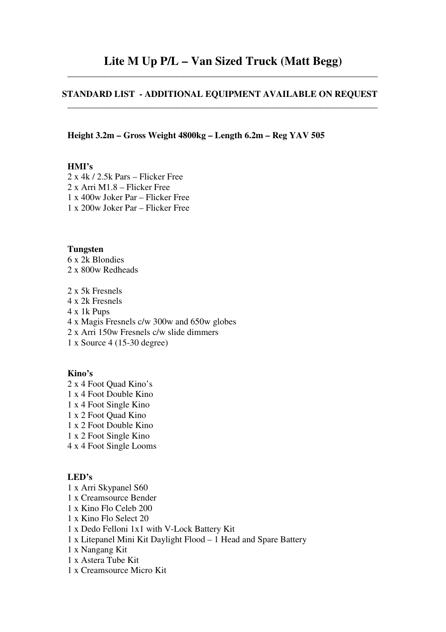# **STANDARD LIST - ADDITIONAL EQUIPMENT AVAILABLE ON REQUEST**  \_\_\_\_\_\_\_\_\_\_\_\_\_\_\_\_\_\_\_\_\_\_\_\_\_\_\_\_\_\_\_\_\_\_\_\_\_\_\_\_\_\_\_\_\_\_\_\_\_\_\_\_\_\_\_\_\_\_\_\_\_\_\_\_\_\_\_\_\_

**Height 3.2m – Gross Weight 4800kg – Length 6.2m – Reg YAV 505** 

## **HMI's**

2 x 4k / 2.5k Pars – Flicker Free 2 x Arri M1.8 – Flicker Free 1 x 400w Joker Par – Flicker Free 1 x 200w Joker Par – Flicker Free

#### **Tungsten**

6 x 2k Blondies 2 x 800w Redheads

2 x 5k Fresnels 4 x 2k Fresnels 4 x 1k Pups 4 x Magis Fresnels c/w 300w and 650w globes 2 x Arri 150w Fresnels c/w slide dimmers 1 x Source 4 (15-30 degree)

## **Kino's**

2 x 4 Foot Quad Kino's 1 x 4 Foot Double Kino 1 x 4 Foot Single Kino 1 x 2 Foot Quad Kino 1 x 2 Foot Double Kino 1 x 2 Foot Single Kino 4 x 4 Foot Single Looms

## **LED's**

- 1 x Arri Skypanel S60
- 1 x Creamsource Bender
- 1 x Kino Flo Celeb 200
- 1 x Kino Flo Select 20
- 1 x Dedo Felloni 1x1 with V-Lock Battery Kit
- 1 x Litepanel Mini Kit Daylight Flood 1 Head and Spare Battery
- 1 x Nangang Kit
- 1 x Astera Tube Kit
- 1 x Creamsource Micro Kit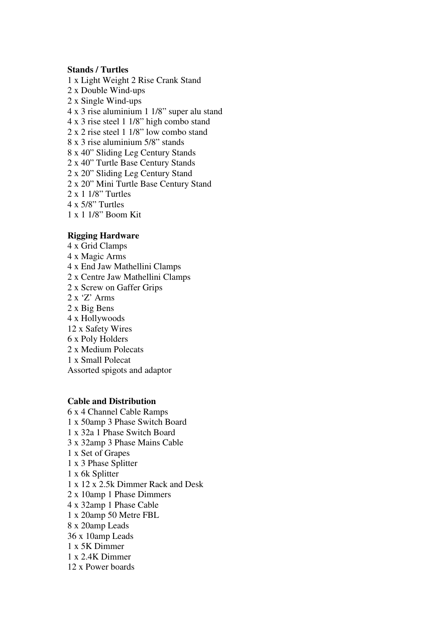#### **Stands / Turtles**

1 x Light Weight 2 Rise Crank Stand 2 x Double Wind-ups 2 x Single Wind-ups 4 x 3 rise aluminium 1 1/8" super alu stand 4 x 3 rise steel 1 1/8" high combo stand 2 x 2 rise steel 1 1/8" low combo stand 8 x 3 rise aluminium 5/8" stands 8 x 40" Sliding Leg Century Stands 2 x 40" Turtle Base Century Stands 2 x 20" Sliding Leg Century Stand 2 x 20" Mini Turtle Base Century Stand 2 x 1 1/8" Turtles 4 x 5/8" Turtles 1 x 1 1/8" Boom Kit

#### **Rigging Hardware**

4 x Grid Clamps 4 x Magic Arms 4 x End Jaw Mathellini Clamps 2 x Centre Jaw Mathellini Clamps 2 x Screw on Gaffer Grips 2 x 'Z' Arms 2 x Big Bens 4 x Hollywoods 12 x Safety Wires 6 x Poly Holders 2 x Medium Polecats 1 x Small Polecat Assorted spigots and adaptor

#### **Cable and Distribution**

6 x 4 Channel Cable Ramps 1 x 50amp 3 Phase Switch Board 1 x 32a 1 Phase Switch Board 3 x 32amp 3 Phase Mains Cable 1 x Set of Grapes 1 x 3 Phase Splitter 1 x 6k Splitter 1 x 12 x 2.5k Dimmer Rack and Desk 2 x 10amp 1 Phase Dimmers 4 x 32amp 1 Phase Cable 1 x 20amp 50 Metre FBL 8 x 20amp Leads 36 x 10amp Leads 1 x 5K Dimmer 1 x 2.4K Dimmer 12 x Power boards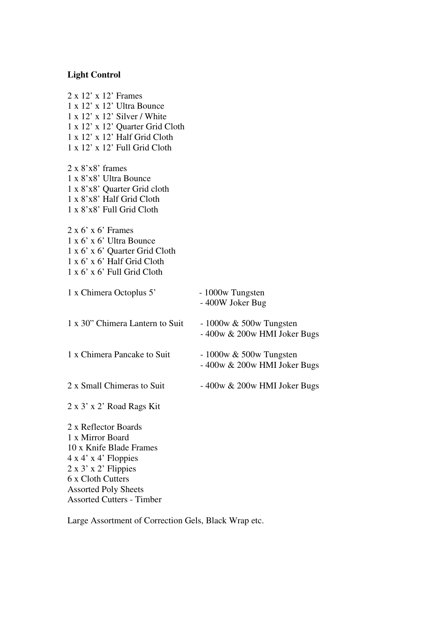# **Light Control**

| 2 x 12' x 12' Frames<br>$1 \times 12' \times 12'$ Ultra Bounce<br>$1 \times 12' \times 12'$ Silver / White<br>1 x 12' x 12' Quarter Grid Cloth<br>$1 \times 12' \times 12'$ Half Grid Cloth<br>$1 \times 12' \times 12'$ Full Grid Cloth |                                                             |
|------------------------------------------------------------------------------------------------------------------------------------------------------------------------------------------------------------------------------------------|-------------------------------------------------------------|
| $2 \times 8' \times 8'$ frames<br>1 x 8'x8' Ultra Bounce<br>1 x 8'x8' Quarter Grid cloth<br>1 x 8'x8' Half Grid Cloth<br>1 x 8'x8' Full Grid Cloth                                                                                       |                                                             |
| $2 \times 6' \times 6'$ Frames<br>$1 \times 6' \times 6'$ Ultra Bounce<br>1 x 6' x 6' Quarter Grid Cloth<br>1 x 6' x 6' Half Grid Cloth<br>$1 \times 6' \times 6'$ Full Grid Cloth                                                       |                                                             |
| 1 x Chimera Octoplus 5'                                                                                                                                                                                                                  | - 1000w Tungsten<br>- 400W Joker Bug                        |
| 1 x 30" Chimera Lantern to Suit                                                                                                                                                                                                          | $-1000w \& 500w$ Tungsten<br>$-400w \& 200w$ HMI Joker Bugs |
| 1 x Chimera Pancake to Suit                                                                                                                                                                                                              | $-1000w \& 500w$ Tungsten<br>- 400w & 200w HMI Joker Bugs   |
| 2 x Small Chimeras to Suit                                                                                                                                                                                                               | $-400w \& 200w$ HMI Joker Bugs                              |
| 2 x 3' x 2' Road Rags Kit                                                                                                                                                                                                                |                                                             |
| 2 x Reflector Boards<br>1 x Mirror Board<br>10 x Knife Blade Frames<br>$4x 4'x 4'$ Floppies<br>$2 \times 3' \times 2'$ Flippies<br>6 x Cloth Cutters<br><b>Assorted Poly Sheets</b><br><b>Assorted Cutters - Timber</b>                  |                                                             |

Large Assortment of Correction Gels, Black Wrap etc.